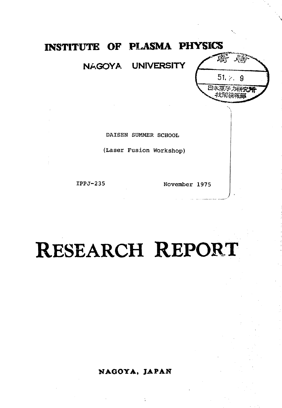# **INSTITUTE OF PLASMA PHYSICS**

## **NAGOYA UNIVERSITY**



DAISEN SUMMER SCHOOL

(Laser Fusion Workshop)

IPPJ-235 November 1975

# RESEARCH REPORT

## **NAGOYA, JAPAN**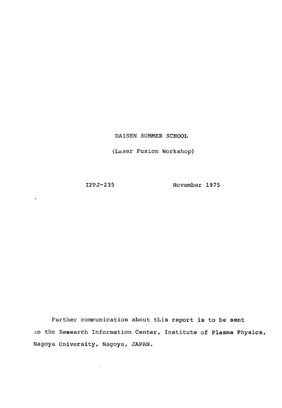DAISEN SUMMER SCHOOL

(Laser Fusion Workshop)

 $\hat{\boldsymbol{\theta}}$ 

IPPJ-235 November 1975

Further communication about this report is to be sent co the Research Information Center, Institute of Plasma Physics, Nagoya University, Nagoya, JAPAN.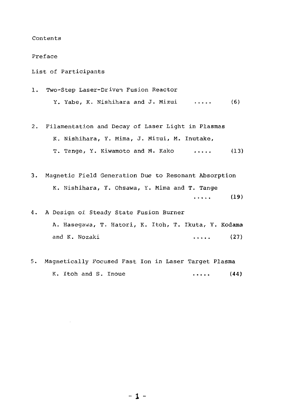Contents

Preface

List of Participants

1. Two-Step Laser-Driven Fusion Reactor

Y. Yabe, K. Nishihara and J. Mizui ..... (6)

- 2. Filamentation and Decay of Laser Light in Plasmas K. Nishihara, Y. Mima, J. Mizui, M. Inutake, T. Tange, Y. Kiwamoto and M. Kako ..... (13)
- 3. Magnetic Field Generation Due to Resonant Absorption K. Nishihara, Y. Ohsawa, Y. Mima and T. Tange ..... (19)
- 4. A Design of. Steady State Fusion Burner A. Hasegawa, T. Hatori, K. Itoh, T. Ikuta, Y. Kodama and K. Nozaki (27)
- 5. Magnetically Focused Fast Ion in Laser Target Plasma  $K.$  Itoh and S. Inoue  $\dots$  (44)

- 1 -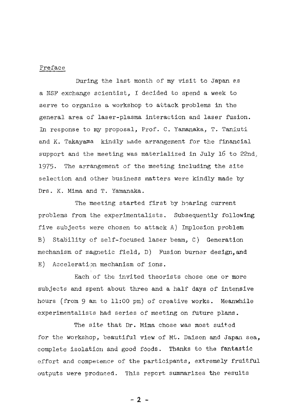#### Preface

During the last month of my visit to Japan e.s a NSF exchange scientist, I decided to spend a week to serve to organize a workshop to attack problems in the general area of laser-plasma interaction and laser fusion. In response to my proposal, Prof. C. Yamanaka, T. Taniuti and K. Takayama kindly made arrangement for the financial support and the meeting was materialized in July 16 to 22nd., 1975. The arrangement of the meeting including the site selection and other business matters were kindly made by Drs. K. Mima and T. Yamanaka.

The meeting started first by hearing current problems from the experimentalists. Subsequently following five subjects were chosen to attack A) Implosion problem B) Stability of self-focused laser beam, C) Generation mechanism of magnetic field, D) Fusion burner design, and E) Acceleration mechanism of ions.

Each of the invited theorists chose one or more subjects and spent about three and a half days of intensive hours (from 9 am to 11:00 pm) of creative works. Meanwhile experimentalists had series of meeting on future plans.

The site that Dr. Mima chose was most suited for the workshop, beautiful view of Mt. Daisen and Japan sea, complete isolation and good foods. Thanks to the fantastic effort and competence of the participants, extremely fruitful outputs were produced. This report summarizes the results

 $-2 -$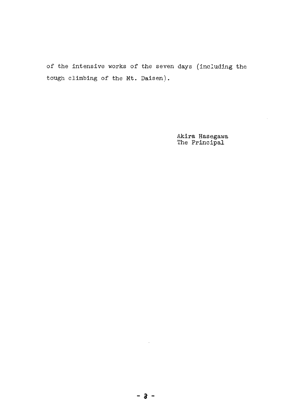of the intensive works of the seven days (including the tough climbing of the Mt. Daisen).

> Akira Hasegawa The Principal

 $\bar{z}$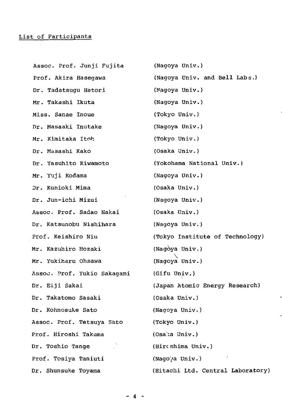#### List of Participants

Assoc. Prof. Junji Fujita Prof. Akira Hasegawa Dr. Tadatsugu Hatori Mr. Takashi Ikuta Miss. Sanae Inoue Dr. Masaaki Inutake Mr. Kimitaka Itoh Dr. Masashi Kako Dr. Yasuhito Kiwamoto Mr. Yuji Kodama Dr. Kunioki Mima Dr. Jun-ichi Mizui Assoc. Prof. Sadao Nakai Dr. Katsunobu Nishihara Prof. Keishiro Niu Mr. Kazuhiro Nozaki Mr. Yukiharu Ohsawa Assoc. Prof. Yukio Sakagami (Gifu Univ.) Dr. Eiji Sakai Dr. Takatomo Sasaki Dr. Kohnosuke Sato Assoc. Prof. Tetsuya Sato Prof. Hiroshi Takuma Dr. Toshio Tange Prof. Tosiya Taniuti Dr. Shunsuke Toyama (Nagoya Univ.) (Nagoya Univ. and Bell Labs.) (Nagoya Univ.) (Nagoya Univ.) (Tokyo Univ.) (Nagoya Univ.) (Tokyo Univ.) (Osaka Univ.) (Yokohama National Univ.) (Nagoya Univ.) (Osaka Univ.) (Nagoya Univ.) (Osaka Univ.) (Nagoya Univ.) (Tokyo Institute of Technology) (Nagoya Univ.) \ (Nagoya Univ.) (Japan Atomic Energy Research) (Osaka Univ.) (Nagoya Univ.) (Tokyo Univ.) (Osa!;a Univ.) (Hiroshima Univ.) (Nago/a Univ.) (Hitachi Ltd. Central Laboratory)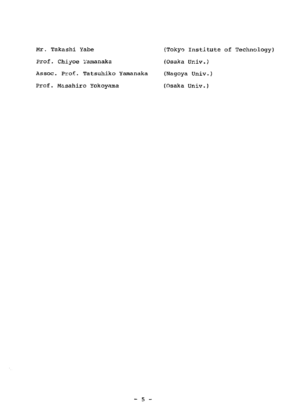| Mr. Takashi Yabe                | (Tokyo Institute of Technology) |
|---------------------------------|---------------------------------|
| Prof. Chiyoe Yamanaka           | (Osaka Univ.)                   |
| Assoc. Prof. Tatsuhiko Yamanaka | (Nagoya Univ.)                  |
| Prof. Masahiro Yokoyama         | (Osaka Univ.)                   |
|                                 |                                 |

 $\langle \gamma_{\mu\nu} \rangle$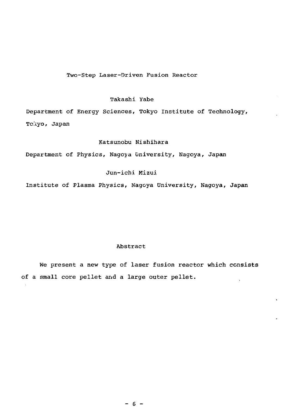## Two-Step Laser-Driven Fusion Reactor

## Takashi Yabe

Department of Energy Sciences, Tokyo Institute of Technology, Tokyo, Japan

## Katsunobu Nishihara

Department of Physics, Nagoya University, Nagoya, Japan

## Jun-ichi Mizui

Institute of Plasma Physics, Nagoya University, Nagoya, Japan

### Abstract

We present a new type of laser fusion reactor which consists of a small core pellet and a large outer pellet.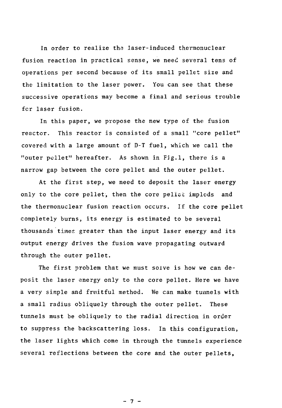In order to realize the laser-induced thermonuclear fusion reaction in practical sense, we need several tens of operations per second because of its small pellet size and the limitation to the laser power. You can see that these successive operations may become a final and serious trouble fcr laser fusion.

In this paper, we propose the new type of the fusion reactor. This reactor is consisted of a small "core pellet" covered with a large amount of D-T fuel, which we call the "outer pellet" hereafter. As shown in Fig.l, there is a narrow gap between the core pellet and the outer pellet.

At the first step, we need to deposit the laser energy only to the core pellet, then the core pellet implods and the thermonuclear fusion reaction occurs. If the core pellet completely burns, its energy is estimated to be several thousands times greater than the input laser energy and its output energy drives the fusion wave propagating outward through the outer pellet.

The first problem that we must solve is how we can deposit the laser energy only to the core pellet. Here we have a very simple and fruitful method. We can make tunnels with a small radius obliquely through the outer pellet. These tunnels must be obliquely to the radial direction in order to suppress the backscattering loss. In this configuration, the laser lights which come in through the tunnels experience several reflections between the core and the outer pellets,

 $7 -$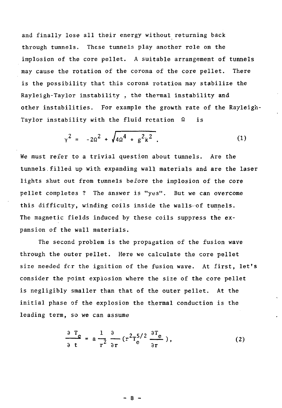and finally lose all their energy without returning back through tunnels. These tunnels play another role on the implosion of the core pellet. A suitable arrangement of tunnels may cause the rotation of the corona of the core pellet. There is the possibility that this corona rotation may stabilize the Rayleigh-Taylor instability , the thermal instability and other instabilities. For example the growth rate of the Rayleigh-Taylor instability with the fluid retation  $\Omega$  is

$$
\gamma^2 = -2\Omega^2 + \sqrt{4\Omega^4 + g^2k^2} \ . \tag{1}
$$

We must refer to a trivial question about tunnels. Are the tunnels.filled up with expanding wall materials and are the laser lights shut out from tunnels before the implosion of the core pellet completes ? The answer is "yes". But we can overcome this difficulty, winding coils inside the walls of tunnels. The magnetic fields induced by these coils suppress the expansion of the wall materials.

The second problem is the propagation of the fusion wave through the outer pellet. Here we calculate the core pellet size needed for the ignition of the fusion wave. At first, let's consider the point explosion where the size of the core pellet is negligibly smaller than that of the outer pellet. At the initial phase of the explosion the thermal conduction is the leading term, so we can assume

$$
\frac{\partial T_e}{\partial t} = a \frac{1}{r^2} \frac{\partial}{\partial r} (r^2 T_e^{5/2} \frac{\partial T_e}{\partial r}), \qquad (2)
$$

- 8 -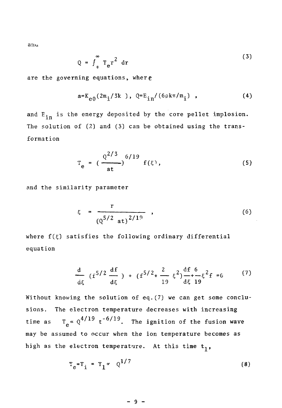anu

$$
Q = \int_0^\infty T_e r^2 dr
$$
 (3)

are the governing equations, where

$$
a=K_{e0}(2m_{i}/3k), Q=E_{in}/(6\rho k\pi/m_{i}), \qquad (4)
$$

and  $E_{in}$  is the energy deposited by the core pellet implosion. The solution of (2) and (3) can be obtained using the transformation

$$
T_e = \left(\frac{Q^{2/3}}{at}\right)^{6/19} f(\xi), \qquad (5)
$$

and the similarity parameter

$$
\xi = \frac{r}{(Q^{5/2} \text{ at})^{2/19}} , \qquad (6)
$$

where  $f(\xi)$  satisfies the following ordinary differential equation

$$
\frac{d}{d\xi} \left( f^{5/2} \frac{df}{d\xi} \right) + \left( f^{5/2} + \frac{2}{19} \xi^2 \right) \frac{df}{d\xi} \frac{6}{19} = 0 \tag{7}
$$

Without knowing the solution of eq. {7) we can get some conclusions. The electron temperature decreases with increasing time as  $T_e \propto Q^{4/19} t^{-6/19}$ . The ignition of the fusion wave may be assumed to occur when the ion temperature becomes as high as the electron temperature. At this time  $t_1$ ,

$$
T_e = T_i = T_1 \propto Q^{1/7}
$$
 (8)

 $-9-$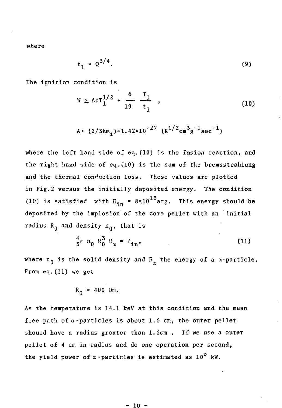where

$$
t_1 \propto Q^{3/4}.
$$
 (9)

The ignition condition is

$$
W \ge A \rho T_1^{1/2} + \frac{6}{19} \frac{T_1}{t_1} , \qquad (10)
$$

$$
\text{A} = (2/3 \text{km}_{\text{i}}) \times 1.42 \times 10^{-27} \text{ (K}^{1/2} \text{cm}^3 \text{g}^{-1} \text{sec}^{-1})
$$

where the left hand side of eq. (10) is the fusion reaction, and the right hand side of eq.(10) is the sum of the bremsstrahlung and the thermal conduction loss. These values are plotted in Fig.2 versus the initially deposited energy. The condition (10) is satisfied with  $E_{in} = 8 \times 10^{13} erg$ . This energy should be deposited by the implosion of the core pellet with an initial radius  $R_0$  and density  $n_0$ , that is

$$
\frac{4}{3}\pi \, n_0 \, R_0^3 \, E_\alpha = E_{in}, \tag{11}
$$

where  $n_0$  is the solid density and  $E_n$  the energy of a  $\alpha$ -particle. From eq.(11) we get

$$
R_0 = 400 \text{ }\mu\text{m.}
$$

As the temperature is 14.1 keV at this condition and the mean free path of  $\alpha$ -particles is about 1.6 cm, the outer pellet should have a radius greater than 1.6cm . If we use a outer pellet of 4 cm in radius and do one operation per second, the yield power of  $\alpha$ -particles is estimated as  $10^{\circ}$  kW.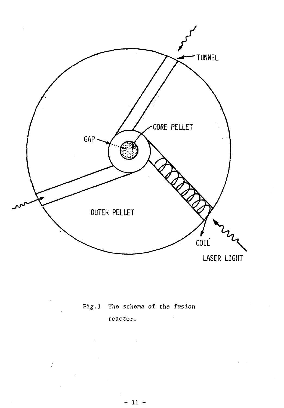

# Fig.l The schema of the fusion reactor.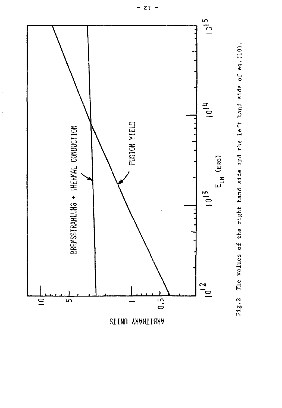

**siiNn**

**cr o CD** *IV* 4-1 **C a) ^3**  $\mathbf{r}$ **i** $\mathbf{g}$ ht **Oi w 3 <U**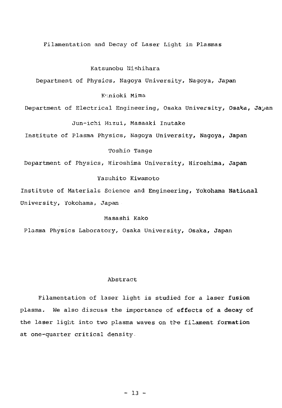Filamentation and Decay of Laser Light in Plasmas

Katsunobu Nishihara

Department of Physics, Nagoya University, Nagoya, Japan

K';nioki Mima

Department of Electrical Engineering, Osaka University, Osaka, Jayan

Jun-ichi Hizui, Masaaki Inutake

Institute of Plasma Physics, Nagoya University, Nagoya, Japan

## Toshio Tange

Department of Physics, Hiroshima University, Hiroshima, **Japan**

## Yasuhito Kiwamoto

Institute of Materials Science and Engineering, Yokohama **National** University, Yokohama, Japan

## Masashi Kako

Plasma Physics Laboratory, Osaka University, Osaka, Japan

## Abstract

Filamentation of laser light is studied for a laser **fusion** plasma. We also discuss the importance of effects **of** a **decay of** the laser light into two plasma waves on the filament **formation** at one-quarter critical density.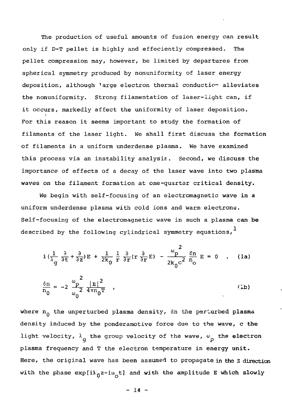The production of useful amounts of fusion energy can result only if D-T pellet is highly and effeciently compressed. The pellet compression may, however, be limited by departures from spherical symmetry produced by nonuniformity of laser energy deposition, although large electron thermal conduction alleviates the nonuniformity. Strong filamentation of laser-light can, if it occurs, markedly affect the uniformity of laser deposition. For this reason it seems important to study the formation of filaments of the laser light. We shall first discuss the **formation** of filaments in a uniform underdense plasma. We have examined this process via an instability analysis. Second, we discuss the importance of effects of a decay of the laser wave into two plasma waves on the filament formation at one-quarter critical density.

We begin with self-focusing of an electromagnetic wave in a uniform underdense plasma with cold ions and warm electrons. Self-focusing of the electromagnetic wave in such a plasma **can** be described by the following cylindrical symmetry equations,  $^{\text{1}}$ 

$$
i\left(\frac{1}{\lambda_g} \frac{\partial}{\partial t} + \frac{\partial}{\partial z}\right) E + \frac{1}{2k_0} \frac{1}{r} \frac{\partial}{\partial r} (r \frac{\partial}{\partial r} E) - \frac{\omega_p^2}{2k_0 c^2} \frac{\delta n}{n_0} E = 0 \quad . \quad (1a)
$$
  

$$
\frac{\delta n}{n_0} = -2 \frac{\omega_p^2}{\omega_0^2} \frac{|E|^2}{4\pi n_0 T} \quad . \tag{1b}
$$

where  $n_0$  the unperturbed plasma density,  $\delta n$  the perturbed plasma density induced by the ponderamotive force due to the wave, **c the** light velocity,  $\lambda_{\alpha}$  the group velocity of the wave,  $\omega_{\alpha}$  the electron plasma frequency and T the electron temperature in **energy unit.** Here, the original wave has been assumed to propagate in the Z direction with the phase  $exp[i k_0 z - i\omega_c t]$  and with the amplitude E which slowly

$$
- 14 -
$$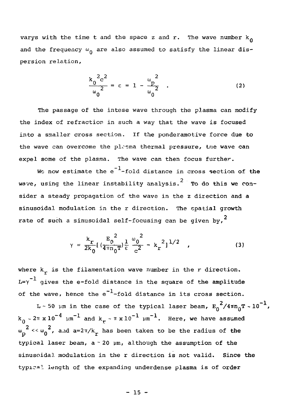varys with the time t and the space z and r. The wave number  $k_0$ and the frequency  $\omega_{0}$  are also assumed to satisfy the linear dispersion relation,

$$
\frac{k_0^2 c^2}{\omega_0^2} = \epsilon = 1 - \frac{\omega p^2}{\omega_0^2} \quad . \tag{2}
$$

The passage of the intese wave through the plasma can modify the index of refraction in such a way that the wave is focused into a smaller cross section. If the ponderamotive force due to the wave can overcome the plesma thermal pressure, the wave can expel some of the plasma. The wave can then focus further.

We now estimate the  $e^{-1}$ -fold distance in cross section of the wave, using the linear instability analysis.<sup>2</sup> To do this we consider a steady propagation of the wave in the z direction and a sinusoidal modulation in the r direction. The spatial growth 2 rate of such a sinusoidal self-focusing can be given by,

$$
\gamma = \frac{k_r}{2k_0} \left( \frac{E_0^2}{4 \pi n_0 T} \right) \frac{1}{\epsilon} \frac{\omega_0^2}{c^2} - k_r^2 \right)^{1/2}, \qquad (3)
$$

where  $k_r$  is the filamentation wave number in the r direction.  $L=\gamma^{-1}$  gives the e-fold distance in the square of the amplitude of the wave, hence the  $e^{-1}$ -fold distance in its cross section.

L - 50 µm in the case of the typical laser beam,  $E_0^2/4\pi n_0T \sim 10^{-1}$ , **— 4 —i \_i —l**  $k_0$  ~ 2 it x 10 ym and  $k_r$  ~ it x 10 ym., here, we have assumed  $\omega_{\rm m}^{\rm 2}$  <<  $\omega_{\rm o}^{\rm 2}$ , a.nd a=2 $\pi/k$  has been taken to be the radius of the typical laser beam,  $a \sim 20$   $\mu$ m, although the assumption of the sinusoidal modulation in the r direction is not valid. Since the typical length of the expanding underdense plasma is of order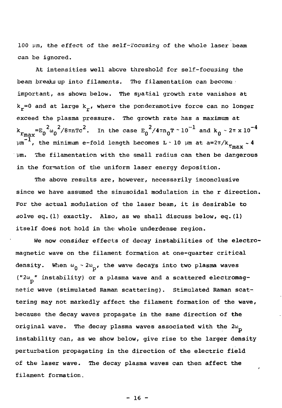100  $\mu$ m, the effect of the self- $\acute{x}$ ocusing of the whole laser beam can be ignored.

At intensities well above threshold for self-focusing the beam breaks up into filaments. The filamentation can become: important, as shown below. The spatial growth rate vanishes at  $k_r = 0$  and at large  $k_r$ , where the ponderamotive force can no longer exceed the plasma pressure. The growth rate has a maximum at  $k_{\texttt{max}} = E_0^2 \omega_0^2 / 8\pi n T c^2$ . In the case  $E_0^2 / 4\pi n_0 T \sim 10^{-1}$  and  $k_0 \sim 2\pi \times 10^{-4}$  $\mu$ m $^{-1}$ , the minimum e-fold length becomes L  $\sim$  10  $\mu$ m at a=2 $\pi/k$   $_{r_{\max}}$   $\sim$  4 <sup>r</sup>max um. in the formation of the uniform laser energy deposition.

The above results are, however, necessarily inconclusive since we have assumed the sinusoidal modulation in the r direction. For the actual modulation of the laser beam, it is desirable to solve eq. (1) exactly. Also, as we shall discuss below, eq. (1) itself does not hold in the whole underdense region.

We now consider effects of decay instabilities of the electro- $W_{\rm eff}$  instabilities of decay instabilities of the electrodensity. When  $\omega_0 \sim 2\omega_{\rm p}$ , the wave decays into two plasma waves ("2 $\omega_{\rm p}$ " instability) or a plasma wave and a scattered electromagnetic wave (stimulated Raman scattering). Stimulated Raman scatnetic wave (stimulated Raman scattering). Stimulated Raman scattering). Stimulated Raman scattering  $\mathcal{R}$ because the decay waves propagate in the same direction of the original wave. The decay plasma waves associated with the  $2\omega_{\mathbf{n}}$ instability can, as we show below, give rise to the larger density instability can, as we show below, give rise to the larger density  $\alpha$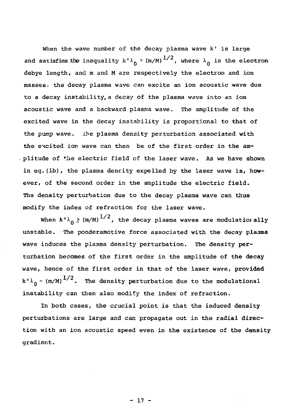When the wave number of the decay plasma wave k' is large and satisfies the inequality k' $\lambda_{\bf n}$  > (m/M)  $^{1/2}$ , where  $\lambda_{\bf n}$  is the electron debye length, and m and M are respectively the electron and ion masses, the decay plasma wave can excite an ion acoustic wave due to a decay instability, a decay of the plasma wave into an ion acoustic wave and a backward plasma wave. The amplitude of the excited wave in the decay instability is proportional to that of the pump wave. ihe plasma density perturbation associated with the excited ion wave can then be of the first order in the amplitude of the electric field of the laser wave. As we have shown in eq.(lb), the plasma density expelled by the laser wave is, however, of the second order in the amplitude the electric field. Tha density perturbation due to the decay plasma wave can thus modify the index of refraction for the laser wave.

When k' $\lambda_0 \gtrsim (m/M)^{1/2}$ , the decay plasma waves are modulationally unstable. The ponderamotive force associated with the decay plasma wave induces the plasma density perturbation. The density perturbation becomes of the first order in the amplitude of the decay wave, hence of the first order in that of the laser wave, provided k' $\lambda_{\,\boldsymbol{\Lambda}}$  ~ (m/M) $^{1/2}.$  The density perturbation due to the modulational instability can then also modify the index of refraction.

In both cases, the crucial point is that the induced density perturbations are large and can propagate out in the radial direction with an ion acoustic speed even in the existence of the density gradient.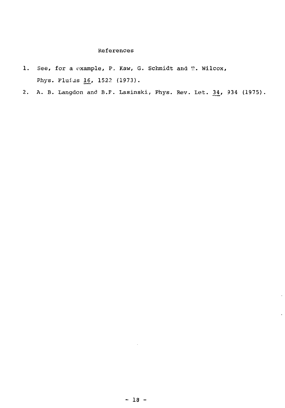## References

- 1. See, for a example, P. Kaw, G. Schmidt and T. Wilcox, Phys. Fluids 16, 1522 (1973).
- 2. A. B. Langdon and B.F. Lasinski, Phys. Rev. Let. 34, 934 (1975)

¥,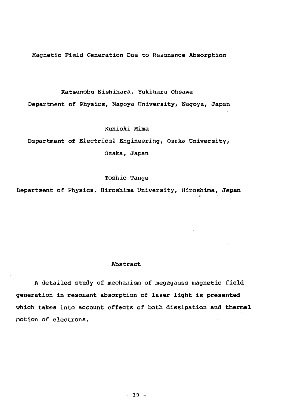Magnetic Field Generation Due to Resonance Absorption

Katsunobu Nishihara, Yukiharu Ohsawa Department of Physics, Nagoya University, Nagoya, Japan

## Kunioki Mima

Department of Electrical Engineering, Osaka University, Osaka, Japan

## Toshio Tange

Department of Physics, Hiroshima University, Hiroshima, Japan

i

## Abstract

A detailed study of mechanism of megagauss magnetic field generation in resonant absorption of laser light is presented which takes into account effects of both dissipation and thermal motion of electrons.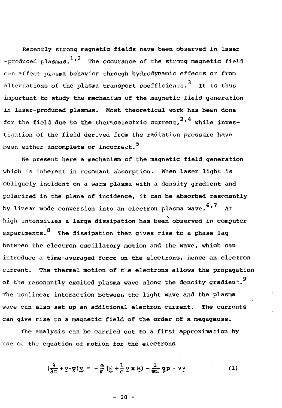Recently strong magnetic fields have been, observed in laser -produced plasmas.  $1, 2$  The occurance of the strong magnetic field can affect plasma behavior through hydrodynamic effects or from alternations of the plasma transport coefficients.<sup>3</sup> It is thus important to study the mechanism of the magnetic field, generation in laser-produced plasmas. Most theoretical work has been done for the field due to the thermoelectric current.<sup>2,4</sup> while investigation of the field derived from the radiation pressure have been either incomplete or incorrect.<sup>5</sup>

We present here a mechanism of the magnetic field generation which is inherent in resonant absorption. When laser light is obliquely incident on a warm plasma with a density gradient and polarized in the plane of incidence, it can be absorbed resonantly by linear mode conversion into an electron plasma wave.  $6.7$  At high intensities a large dissipation has been observed in computer experiments. $^{\mathbf{8}}$  The dissipation then gives rise to a phase lag between the electron oscillatory motion and the wave, which can introduce a time-averaged force on the electrons, nence an electron current. The thermal motion of the electrons allows the propagation of the resonantly excited plasma wave along the density gradient.<sup>9</sup> The nonlinear interaction between the light wave and the plasma wave can also set up an additional electron current. The currents can give rise to a magnetic field of the order of a megagauss.

The analysis can be carried out to a first approximation by use of the equation of motion for the electrons

$$
\left(\frac{\partial}{\partial t} + \underline{y} \cdot \underline{y}\right) \underline{y} = -\frac{e}{m} \left(\underline{p} + \frac{1}{c} \underline{y} \times \underline{p}\right) - \frac{1}{mn} \underline{y} \underline{p} - \nu \underline{y} \tag{1}
$$

- 20 -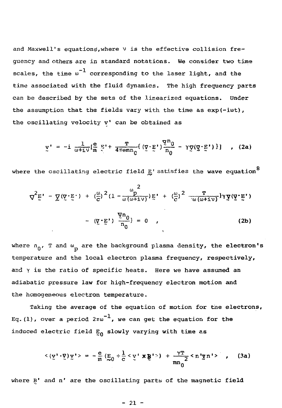and Maxwell's equations, where  $\nu$  is the effective collision freguency and others are in standard notations. We consider two time scales, the time  $\omega^{-1}$  corresponding to the laser light, and the time associated with the fluid dynamics. The high frequency parts can be described by the sets of the linearized equations. Under the assumption that the fields vary with the time as exp(-iwt), the oscillating velocity v' can be obtained as

$$
\underline{v}^{\prime} = -i \frac{1}{\omega + i \nu} [\frac{e}{m} \underline{F}^{\prime} + \frac{T}{4 \pi e m n_0} (\langle \underline{v} \cdot \underline{E}^{\prime}) \frac{\overline{v}^n_0}{n_0} - \gamma \underline{v} (\overline{y} \cdot \underline{E}^{\prime}) \} ] \quad , \quad (2a)
$$

where the oscillating electric field  $E'$  satisfies the wave equation  $8$ 

$$
\nabla^2 \underline{E}' - \underline{\nabla} (\underline{\nabla} \cdot \underline{E} \cdot) + (\frac{\omega}{c})^2 (1 - \frac{\omega p}{\omega (\omega + i \nu)}) \underline{E}' + (\frac{\omega}{c})^2 \frac{T}{\omega (\omega + i \nu)} \gamma \underline{\nabla} (\underline{\nabla} \cdot \underline{E}')
$$

$$
-(\tilde{V}\cdot\tilde{E})\frac{\tilde{\Delta}w}{\tilde{V}^0} = 0 \qquad (2b)
$$

where  $n_0$ , T and  $\omega_p$  are the background plasma density, the electron's temperature and the local electron plasma frequency, respectively, and  $\gamma$  is the ratio of specific heats. Here we have assumed an adiabatic pressure law for high-frequency electron motion and the homogeneous electron temperature.

Taking the average of the equation of motion for the electrons, Eq.(1), over a period  $2\pi\omega^{-1}$ , we can get the equation for the induced electric field  $E_0$  slowly varying with time as

$$
\langle (\underline{v} \cdot \underline{v}) \underline{v} \rangle = -\frac{e}{m} \left( \underline{E}_0 + \frac{1}{c} \langle \underline{v} \cdot \underline{\mathbf{g}} \rangle \right) + \frac{\gamma \underline{T}}{mn_0} \langle n \cdot \underline{v} \underline{n} \rangle \quad , \quad (3a)
$$

where  $\underline{B}$ ' and n' are the oscillating parts of the magnetic field

$$
-21-
$$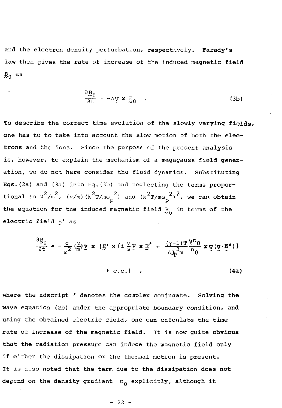and the electron density perturbation, respectively. Farady's law then gives the rate of increase of the induced magnetic field  $B_0$  as

$$
\frac{\partial g_0}{\partial t} = -c \nabla \times E_0 \quad . \tag{3b}
$$

To describe the correct time evolution of the slowly **varying fields\*** one has to to take into account the slow motion of both **the** electrons and the ions. Since the purpose of the present **analysis** is, however, to explain the mechanism of a megagauss field generation, we do not here consider the fluid dynamics. **Substituting** Eqs.(2a) and (3a) into Eq.(3b) and neglecting the terms proportional to  $v^2/w^2$ , (v/w)(k $^2$ T/mw\_<sup>2</sup>) and (k $^2$ T/mw\_<sup>2</sup>)<sup>2</sup>, we can obtair the equation for the induced magnetic field  $B_{ij}$  in terms of the the equation for tne induced magnetic field B in terms of **the**

electric field E' as

$$
\frac{\partial g_0}{\partial t} = -\frac{c}{\omega^2} \left( \frac{2}{m} \right) \overline{y} \times \left[ \underline{E}^{\dagger} \times \left( i \frac{v}{\omega} \overline{y} \times \underline{E}^{\dagger} + \frac{(\gamma - 1) T}{\omega} \frac{\overline{y}^n}{n_0} \times \overline{y} \left( \overline{y} \cdot \underline{E}^{\dagger} \right) \right] + c.c. \right] \tag{4a}
$$

where the adscript \* denotes the complex conjugate. Solving **the** wave equation (2b) under the appropriate boundary condition, **and** using the obtained electric field, one can calculate the **time** rate of increase of the magnetic field. It is now guite **obvious that** the radiation pressure can induce the magnetic field **only** if either the dissipation or the thermal motion is present. It is also noted that the term due to the dissipation does **not** depend on the density gradient  $n_{\Omega}$  explicitly, although it

$$
-22-
$$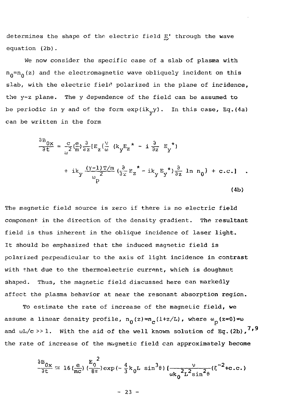determines the shape of the electric field E/ through the wave equation (2b).

We now consider the specific case of a slab of plasma with  $n_0=n_{0}(z)$  and the electromagnetic wave obliquely incident on this slab, with the electric field polarized in the plane of incidence, the y-z plane. The y dependence of the field can be assumed to be periodic in y and of the form  $exp(ik_y y)$ . In this case, Eq.(4a) can be written in the form

$$
\frac{\partial B_{0x}}{\partial t} = \frac{C}{\omega^2} \left( \frac{e}{m} \right) \frac{\partial}{\partial z} \left[ E_z \left( \frac{V}{\omega} \left( k_y E_z \right)^* - i \frac{\partial}{\partial z} E_y \right)^* \right)
$$
  
+ 
$$
i k_y \frac{(\gamma - 1) T/m}{\omega_p^2} \left( \frac{\partial}{\partial z} E_z \right)^* - i k_y E_y \right) \frac{\partial}{\partial z} \ln n_0 + c.c. \}
$$
 (4b)

The magnetic field source is zero if there is no electric field component in the direction of the density gradient. The resultant field is thus inherent in the oblique incidence of laser light. It should be emphasized that the induced magnetic field is polarized perpendicular to the axis of light incidence in contrast with that due to the thermoelectric current, which is doughnut shaped. Thus, the magnetic field discussed here can markedly affect the plasma behavior at near the resonant absorption region.

To estimate the rate of increase of the magnetic field, we assume a linear density profile,  $n_0(z)=n_c(1+z/L)$ , where  $\omega_0(z=0)=\omega$ 7,9 and  $\omega$ ,  $\sim$  1. With the aid of the well known solution of Eg.(2b), the rate of increase of the magnetic field can approximately become

$$
\frac{\partial B_{0x}}{\partial t} \simeq 16 \left( \frac{e}{mc} \right) \left( \frac{E_0^2}{8\pi} \right) \exp \left( -\frac{4}{3} k_0 L \sin^3 \theta \right) \left( \frac{v}{\omega k_0^2 L^2 \sin^2 \theta} \left( \xi^{-2} + c.c. \right) \right)
$$

 $- 23 -$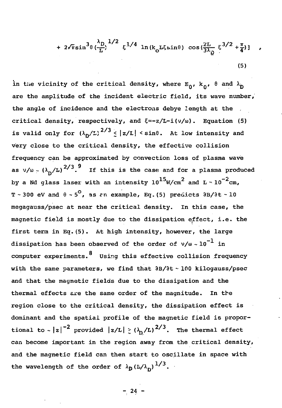+ 
$$
2\sqrt{\pi}\sin^3\theta \left(\frac{\lambda_D}{L}\right)^{1/2} \xi^{1/4} \ln(k_0 L \xi \sin\theta) \cos(\frac{2L}{3\lambda_D} \xi^{3/2} + \frac{\pi}{4})
$$
 (5)

in the vicinity of the critical density, where  $E_0$ ,  $k_0$ ,  $\theta$  and  $\lambda_D$ are the amplitude of the incident electric field, its wave number, the angle of incidence and the electrons debye length at the critical density, respectively, and  $\xi = -z/L - i(v/w)$ . Equation (5) is valid only for  $(\lambda_0/L)^{2/3} \le |z/L| \le \sin\theta$ . At low intensity and very close to the critical density, the effective collision frequency can be approximated by convection loss of plasma wave as v/w  $\sim$  ( $\lambda_{\rm n}/\rm L)$   $^{2/3}$ .  $^{9}$  If this is the case and for a plasma produced by a Nd glass laser with an intensity  $10^{15}$ W/cm $^2$  and L ~  $10^{-2}$ cm,  $T \sim 300$  eV and  $\theta \sim 5^{\circ}$ , as an example, Eq. (5) predicts  $\partial B/\partial t \sim 10$ megagauss/psec at near the critical density. In this case, the magnetic field is mostly due to the dissipation effect, i.e. the first term in Eq.  $(5)$ . At high intensity, however, the large dissipation has been observed of the order of  $v/w \sim 10^{-1}$  in computer experiments.  $8\atop$  Using this effective collision frequency with the same parameters, we find that  $\partial B/\partial t \sim 100$  kilogauss/psec and that the magnetic fields due to the dissipation and the thermal effects are the same order of the magnitude. In the region close to the critical density, the dissipation effect is dominant and the spatial profile of the magnetic field is proportional to  $\sim |z|^{-2}$  provided  $|z/L| \ge (\lambda_n/L)^{2/3}$ . The thermal effect can become important in the region away from the critical density, and the magnetic field can then start to oscillate in space with the wavelength of the order of  $\lambda_{\rm D}$  (L/ $\lambda_{\rm D}$ )  $^{1/3}$ .

**- 24 -**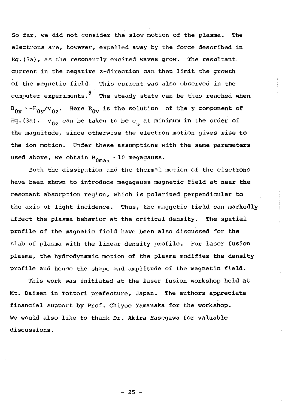So far, we did not consider the slow motion of the plasma. The electrons are, however, expelled away by the force described in Eq.(3a), as the resonantly excited waves grow. The resultant current in the negative z-direction can then limit the growth of the magnetic field. This current was also observed in the computer experiments. <sup>8</sup> The steady state can be thus reached when  $B_{0x} \sim -E_{0y}/v_{0z}$ . Here  $E_{0y}$  is the solution of the y component of  $\frac{1}{2}$ .  $\frac{1}{2}$  is the solution of  $\frac{1}{2}$ .  $E_q$ , (3a).  $v_0$  can be taken to be  $c_s$  at minimum in the order of the magnitude, since otherwise the electron motion gives rise to the ion motion. Under these assumptions with the same parameters used above, we obtain  $B_{0max} \sim 10$  megagauss.

Both the dissipation and the thermal motion of the electrons have been shown to introduce megagauss magnetic field at near the resonant absorption region, which is polarized perpendicular to the axis of light incidence. Thus, the magnetic field can markedly affect the plasma behavior at the critical density. The spatial profile of the magnetic field have been also discussed for the slab of plasma with the linear density profile. For laser fusion plasma, the hydrodynamic motion of the plasma modifies the density profile and hence the shape and amplitude of the magnetic field.

This work was initiated at the laser fusion workshop held at Mt. Daisen in Tottori prefecture, Japan. The authors appreciate financial support by Prof. Chiyoe Yamanaka for the workshop. We would also like to thank Dr. Akira Hasegawa for valuable discussions.

- 25 -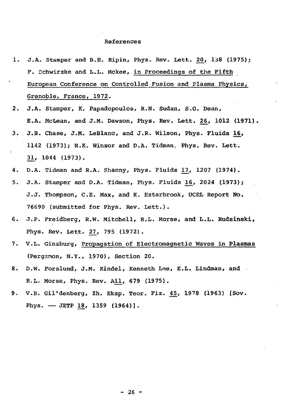- 1. J.A. Stamper and B.H. Ripin, Phys. Rev. Lett. 20, 138 (1975); F. Gchwirzke and L.L. Mckee, in Proceedings of the Fifth European Conference on Controlled Fusion and Plasma Physics, Grenoble, France, 1972.
- 2. J.A. Stamper, K. Papadopoulos, R.N. Sudan, S.O. Dean, E.A. McLean, and J.M. Dawson, Phys. Rev. Lett. 26, 1012 (1971).
- 3. J.B. Chase, J.M. LeBlanc, and J.R. Wilson, Phys. Fluids 16, 1142 (1973); N.K. Winsor and D.A. Tidman;. Phys. Rev. Lett. 33., 1044 (1973).
- 4. D.A. Tidman and R.A. Shanny, Phys. Fluids 3/7, 1207 (1974).
- 5. J.A. Stamper and D.A. Tidman, Phys. Fluids 16, 2024 (1973); J.J. Thompson, C.E. Max, and K. Estarbrook, UCRL Report No. 76690 (submitted for Phys. Rev. Lett.).
- 6. J.P. Freidberg, R.W. Mitchell, R.L, Morse, and L.L. Rudsinski, Phys. Rev. Lett. 27, 795 (1972).
- 7. V.L. Ginzburg, Propagation of Electromagnetic Waves in Plasmas (Pergsraon, N.Y., 1970), Section 20.
- 8. D.W. Forslund, J.M. Kindel, Kenneth Lee, E.L. Lindman, and R.L. Morse, Phys. Rev. All, 679 (1975).
- 9.. V.B. Gil'denberg, Zh. Eksp. Teor. Fiz. £5, 1978 (1963) [Sov. Phys.  $-$  JETP 18, 1359 (1964)].

- 26 -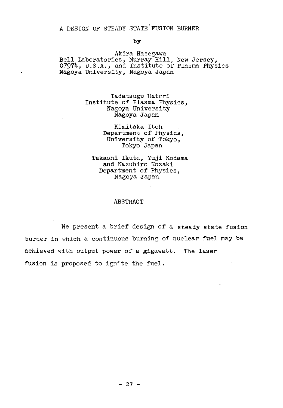A DESIGN OP STEADY STATE FUSION BURNER

by

Akira Hasegawa Bell Laboratories, Murray Hill, New Jersey, 07974; U.S.A., and Institute of Plasma Physics Nagoya University, Nagoya Japan

> Tadatsugu Hatori Institute of Plasma Physics, Nagoya University Nagoya Japan

> > Kimitaka Itoh Department of Physics, University of Tokyo, Tokyo Japan

Takashi Ikuta, Yuji Kodama and Kazuhiro Nozaki Department of Physics, Nagoya Japan

#### ABSTRACT

We present a brief design of a steady state fusion burner in which a continuous burning of nuclear fuel may be achieved with output power of a gigawatt. The laser fusion is proposed to ignite the fuel.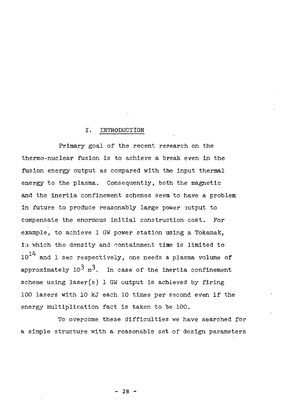## I. INTRODUCTION

Primary goal of the recent research on the thermo-nuclear fusion is to achieve a break even in the fusion energy output as compared with the input thermal energy to the plasma. Consequently, both the magnetic and the inertia confinement schemes seem to have a problem in future to produce reasonably large power output to Compensate the enormous initial construction cost. For example, to achieve 1 GW power station using a Tokamak, ia which the density and containment time is limited to  $10^{14}$  and 1 sec respectively, one needs a plasma volume of approximately  $10^3$  m<sup>3</sup>. In case of the inertia confinement scheme using laser(s) 1 GW output is achieved by firing 100 lasers with 10 kJ each 10 times per second even if the energy multiplication fact is taken to be 100.

To overcome these difficulties we have searched for a simple structure with a reasonable set of design parameters

- 28 -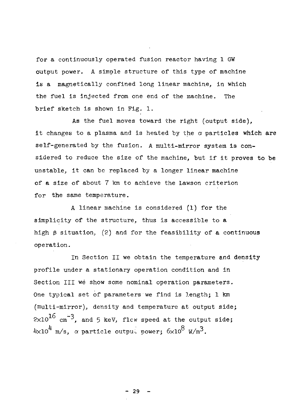for a continuously operated fusion reactor having 1 GW output power. A simple structure of this type of machine is a magnetically confined long linear machine, in which the fuel is injected from one end of the machine. The brief sketch is shown in Fig. 1.

As the fuel moves toward the right (output side), it changes to a plasma and is heated by the  $\alpha$  particles which are self-generated by the fusion. A multi-mirror system is considered to reduce the size of the machine, but if it proves to be unstable, it can be replaced by a longer linear machine of a size of about 7 km to achieve the Lawson criterion for the same temperature.

A linear machine is considered (1) for the simplicity of the structure, thus is accessible to a high  $\beta$  situation, (2) and for the feasibility of a continuous operation.

In Section II we obtain the temperature and density profile under a stationary operation condition and in Section III we show some nominal operation parameters. One typical set of parameters we find is length; 1 km (multi-mirror), density and temperature at output side;  $2 \times 10^{16}$  cm<sup>-3</sup>, and 5 keV, flcw speed at the output side;  $4 \times 10^{4}$  m/s,  $\alpha$  particle output power;  $6 \times 10^{8}$  W/m<sup>3</sup>.

29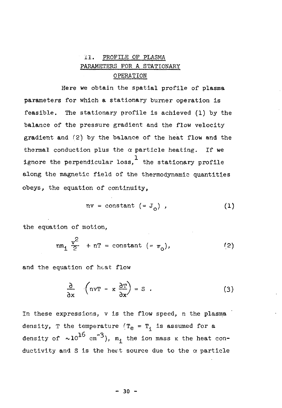## II. PROFILE OF PLASMA PARAMETERS FOR A STATIONARY OPERATION

Here we obtain the spatial profile of plasma parameters for which a stationary burner operation is feasible. The stationary profile is achieved (1) by the balance of the pressure gradient and the flow velocity gradient and (2) by the balance of the heat flow and the thermal conduction plus the  $\alpha$  particle heating. If we ignore the perpendicular loss, the stationary profile along the magnetic field of the thermodynamic quantities obeys, the equation of continuity,

$$
nv = constant (= Jo) , \t(1)
$$

the equation of motion,

$$
nm_1 \frac{v^2}{2} + nT = constant (= \pi_0), \qquad (2)
$$

and the equation of heat flow

$$
\frac{\partial}{\partial x} \left( n v \mathbf{T} - \kappa \frac{\partial \mathbf{T}}{\partial x} \right) = S \quad . \tag{3}
$$

In these expressions, v is the flow speed, n the plasma density, T the temperature  $T_e = T_i$  is assumed for a density of  $\sim 10^{16}$  cm<sup>-3</sup>), m<sub>i</sub> the ion mass k the heat conductivity and S is the heat source due to the  $\alpha$  particle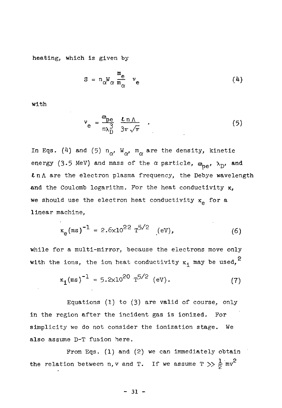heating, which is given by

$$
S = n_{\alpha} W_{\alpha} \frac{m_{e}}{m_{\alpha}} v_{e}
$$
 (4)

with

$$
v_{\rm e} = \frac{\omega_{\rm pe}}{n\lambda_{\rm D}^3} \frac{ln \Lambda}{3\pi \sqrt{\pi}} \qquad (5)
$$

In Eqs. (4) and (5)  $n_{\alpha}$ ,  $W_{\alpha}$ ,  $m_{\alpha}$  are the density, kinetic energy (3.5 MeV) and mass of the  $\alpha$  particle,  $\omega_{\rm ne}$ ,  $\lambda_{\rm D}$ , and  $ln A$  are the electron plasma frequency, the Debye wavelength and the Coulomb logarithm. For the heat conductivity  $\kappa$ , we should use the electron heat conductivity  $\kappa_{\rho}$  for a linear machine,

$$
\kappa_e(\text{ms})^{-1} = 2.6 \times 10^{22} \text{ T}^{5/2} \quad (\text{eV}), \tag{6}
$$

while for a multi-mirror, because the electrons move only 2 with the ions, the fourness conductivity  $K_i$  may be used,

$$
\kappa_{\mathbf{i}}(\text{ms})^{-1} = 5.2 \times 10^{20} \text{ T}^{5/2} \text{ (eV)}.
$$
 (7)

Equations (1) to (3) are valid of course, only in the region after the incident gas is ionized. For simplicity we do not consider the ionization stage. We also assume D-T fusion here.

From Eqs. (1) and (2) we can immediately obtain the relation between n, v and T. If we assume  $T$   $>$   $\frac{1}{2}$  mv<sup>2</sup>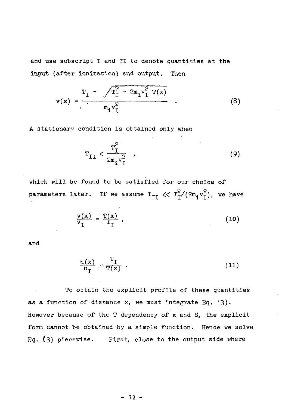and use subscript I and II to denote quantities at the input (after ionization) and output. Then

$$
v(x) = \frac{T_{T} - \sqrt{T_{T}^{2} - 2m_{1}v_{T}^{2}T(x)}}{m_{1}v_{T}^{2}} \qquad (8)
$$

A stationary condition is obtained only when

$$
T_{II} < \frac{T_{I}^{2}}{2m_{i}v_{I}^{2}} \t\t(9)
$$

which will be found to be satisfied for our choice of parameters later. If we assume  $\texttt T_{\tau\tau} \ll \texttt T_{\tau}^2/(2\texttt m_{\star}\texttt v_{\tau}^2)$ , we have

$$
\frac{v(x)}{v} = \frac{T(x)}{T} \t{1}
$$
 (10)

and

$$
\frac{n(x)}{n_{\mathcal{I}}} = \frac{\mathcal{T}_{\mathcal{I}}}{\mathcal{T}(x)} \tag{11}
$$

To obtain the explicit profile of these quantities as a function of distance x, we must integrate Eq.  $(3)$ . However because of the T dependency of **k** and S, the explicit form cannot be obtained by a simple function. Hence we solve Eq.  $(3)$  piecewise. First, close to the output side where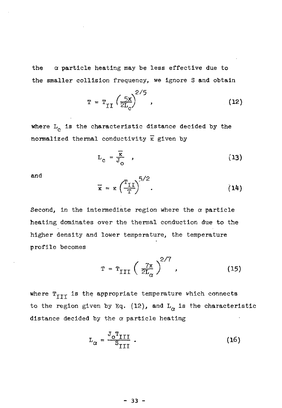the  $\alpha$  particle heating may be less effective due to the smaller collision frequency, we ignore S and obtain

$$
T = T_{II} \left(\frac{5x}{2L_c}\right)^{2/5}, \qquad (12)
$$

where  $L_c$  is the characteristic distance decided by the normalized thermal conductivity  $\bar{x}$  given by

$$
L_c = \frac{\overline{k}}{J_o} \quad , \tag{13}
$$

and

$$
\overline{\kappa} = \kappa \left(\frac{T_{II}}{T}\right)^{5/2}.
$$
 (14)

Second, in the intermediate region where the  $\alpha$  particle heating dominates over the thermal conduction due to the higher density and lower temperature, the temperature profile becomes

$$
T = T_{\text{III}} \left( \frac{7x}{2L_{\alpha}} \right)^{2/7}, \qquad (15)
$$

where  $T_{TT}$  is the appropriate temperature which connects to the region given by Eq. (12), and  $L_{\alpha}$  is the characteristic distance decided by the  $\alpha$  particle heating

$$
L_{\alpha} = \frac{J_o T_{\text{III}}}{S_{\text{III}}} \tag{16}
$$

 $-33 -$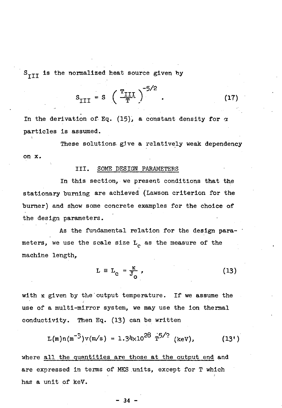$S<sub>TTT</sub>$  is the normalized heat source given by

$$
S_{\text{III}} = S \left(\frac{T_{\text{III}}}{T}\right)^{-5/2} \tag{17}
$$

In the derivation of Eq. (15), a constant density for  $\alpha$ particles is assumed.

These solutions give a relatively weak dependency on x.

## III. SOME DESIGN PARAMETERS

In this section, we present conditions that the stationary burning are achieved (Lawson criterion for the burner) and show some concrete examples for the choice of the design parameters.

As the fundamental relation for the design parameters, we use the scale size  $L_c$  as the measure of the machine length,

$$
L \equiv L_c = \frac{K}{J_0} \,, \tag{13}
$$

with  $k$  given by the output temperature. If we assume the use of a multi-mirror system, we may use the ion thermal conductivity. Then Eq. (13) can be written

$$
L(m)n(m^{-3})v(m/s) = 1.34 \times 10^{28} \text{ T}^{5/2} (keV), \qquad (13')
$$

where all the quantities are those at the output end and are expressed in terms of MKS units, except for T which has a unit of keV.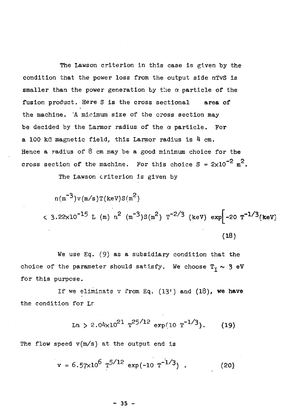The Lawson criterion in this case is given by the condition that the power loss from the output side nTvS is smaller than the power generation by the  $\alpha$  particle of the fusion product. Here S is the cross sectional area of the machine. A minimum size of the cross section may be decided by the Larmor radius of the  $\alpha$  particle. For a 100 kG magnetic field, this Larmor radius is 4 cm. Hence a radius of  $8$  cm may be a good minimum choice for the cross section of the machine. For this choice  $S = 2 \times 10^{-2} \text{ m}^2$ .

The Lawson criterion is given by

$$
n(m^{-3})v(m/s)T(keV)S(m^{2})
$$
  
< 3.22×10<sup>-15</sup> L (m) n<sup>2</sup> (m<sup>-3</sup>)S(m<sup>2</sup>) T<sup>-2/3</sup> (keV) exp[-20 T<sup>-1/3</sup>(keV)  
(18)

We use Eq.  $(9)$  as a subsidiary condition that the choice of the parameter should satisfy. We choose  $T_{\overline{1}} \sim 3$  eV for this purpose.

If we eliminate v from Eq. (13<sup>1</sup>) and (18), **we have** the condition for Lr

$$
\text{Ln} > 2.04 \times 10^{21} \, \text{T}^{25/12} \, \exp(10 \, \text{T}^{-1/3}). \qquad (19)
$$

The flow speed  $v(m/s)$  at the output end is

$$
v = 6.57 \times 10^6 \text{ T}^{5/12} \exp(-10 \text{ T}^{-1/3}) \quad . \tag{20}
$$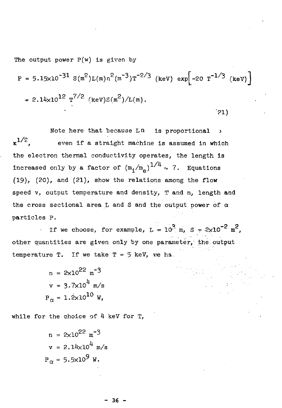The output power  $P(w)$  is given by

P = 5.15xlO"<sup>31</sup> S(m<sup>2</sup> )L(m)n<sup>2</sup> (m~<sup>3</sup> )T~2/3 (keV) exp|-20 T" l / <sup>3</sup> (keV)J = 2.l4xlO<sup>12</sup> T 7 / <sup>2</sup> (keV)S(m<sup>2</sup>)/L(m).

21)

Note here that because  $L<sup>n</sup>$  is proportional  $\rightarrow$  $x^{1/2}$ . even if a straight machine is assumed in which the electron thermal conductivity operates, the length is increased only by a factor of  $(m_s/m_e)^{1/4} \sim 7$ . Equations  $(19)$ ,  $(20)$ , and  $(21)$ , show the relations among the flow speed v, output temperature and density, T and n, length and the cross sectional area L and S and the output power of  $\alpha$  $t_{\rm{eff}}$  section are a L and S and S and S and S and S and S and S and S and S and S and  $T_{\rm{eff}}$ 

particles P. o \_p 2 other quantities are given only by one parameter, the output temperature T. If we take  $T = 5$  keV, we ha.

$$
n = 2 \times 10^{22} \text{ m}^{-3}
$$
  
\n
$$
v = 3.7 \times 10^{4} \text{ m/s}
$$
  
\n
$$
P_{\alpha} = 1.2 \times 10^{10} \text{ W},
$$

while for the choice of  $4$  keV for  $4$  keV for  $4$  keV for  $\mathcal{A}$ 

$$
n = 2 \times 10^{22} \text{ m}^{-3}
$$
  

$$
v = 2.14 \times 10^{4} \text{ m/s}
$$
  

$$
P_{\alpha} = 5.5 \times 10^{9} \text{ W}.
$$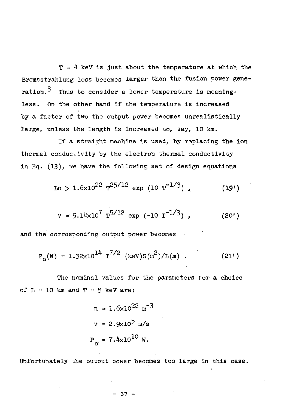$T = 4$  keV is just about the temperature at which the Bremsstrahlung loss becomes larger than the fusion power gene $ration.$ <sup>3</sup> Thus to consider a lower temperature is meaningless. On the other hand if the temperature is increased by a factor of two the output power becomes unrealistically large, unless the length is increased to, say, 10 km.

If a straight machine is used, by replacing the ion If a straight mass is used; by replacing the ion  $\mathcal{S}$  and in the ion ion  $\mathcal{S}$ in Eq. (13)  $\mu$  we have the following set of design equations set of design equations  $\mu$ 

$$
\text{Ln} > 1.6 \times 10^{22} \text{ } \text{T}^{25/12} \text{ } \text{exp} \text{ } (10 \text{ } \text{T}^{-1/3}) \text{ } \tag{19'}
$$

$$
v = 5.14 \times 10^7 \text{ T}^{5/12} \text{ exp } (-10 \text{ T}^{-1/3}) \tag{20'}
$$

and the corresponding output power becomes

$$
P_{\alpha}(W) = 1.32 \times 10^{14} \text{ T}^{7/2} \text{ (keV)} \text{S} \text{ (m}^2 \text{)}/L \text{ (m)} \tag{21'}
$$

The nominal values for the parameters for a choice of  $L = 10$  km and  $T = 5$  keV are:

$$
n = 1.6 \times 10^{22} \text{ m}^{-3}
$$
  

$$
v = 2.9 \times 10^{5} \text{ m/s}
$$
  

$$
P_{\alpha} = 7.4 \times 10^{10} \text{ W}.
$$

Unfortunately the output power becomes too large in this case

$$
-37-
$$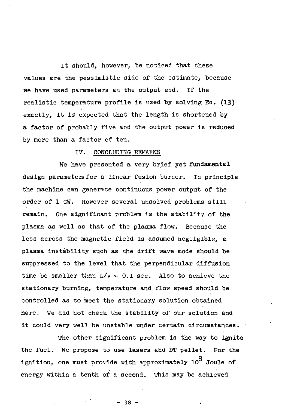It should, however, be noticed that these values are the pessimistic side of the estimate, because we have used parameters at the output end. If the realistic temperature profile is used by solving Eq.  $(13)$ exactly, it is expected that the length is shortened by a factor of probably five and the output power is reduced by more than a factor of ten.

## IV. CONCLUDING REMARKS

We have presented a very brief yet fundamental design parameters for a linear fusion burner. In principle the machine can generate continuous power output of the order of 1 GW. However several unsolved problems still remain. One significant problem is the stability of the plasma as well as that of the plasma flow. Because the loss across the magnetic field is assumed negligible, a plasma instability such as the drift wave mode should be suppressed to the level that the perpendicular diffusion time be smaller than  $L/v \sim 0.1$  sec. Also to achieve the stationary burning, temperature and flow speed should be controlled as to meet the stationary solution obtained here. We did not check the stability of our solution and it could very well be unstable under certain circumstances.

The other significant problem is the way to ignite the fuel. We propose to use lasers and DT pellet. For the ignition, one must provide with approximately  $10^8$  Joule of energy within a tenth of a second. This may be achieved

- 38 -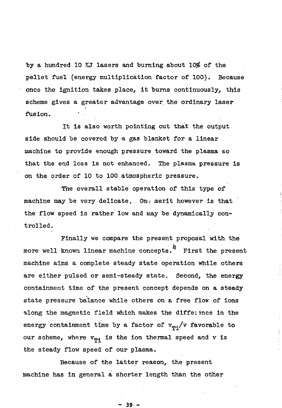by a hundred 10 KJ lasers and burning about  $10\%$  of the pellet fuel (energy multiplication factor of 100). Because once the ignition takes place, it burns continuously, this scheme gives a greater advantage over the ordinary laser fusion.

It is also worth pointing out that the output side should be covered by a gas blanket for a linear machine to provide enough pressure toward the plasma so that the end loss is not enhanced. The plasma pressure is on the order of 10 to 100 atmospheric pressure.

The overall stable operation of this type of machine may be very delicate. One merit however is that the flow speed is rather low and way be dynamically controlled.

Finally we compare the present proposal with the more well known linear machine concepts.<sup>4</sup> First the present machine aims a complete steady state operation while others are either pulsed or semi-steady state. Second, the energy containment time of the present concept depends on a steady state pressure balance while others on a free flow of ions along the magnetic field which makes the diffeisnce in the energy containment time by a factor of  $v_{m}$ ,  $/v$  favorable to our scheme, where  $v_{m_i}$  is the ion thermal speed and v is the steady flow speed of our plasma.

Because of the latter reason, the present machine has in general a shorter length than the other

- 39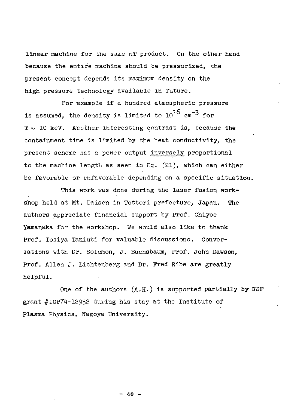linear machine for the same nT product. On the other hand •because the entire machine should be pressurized, the present concept depends its maximum density on the high pressure technology available in future.

For example if a hundred atmospheric pressure is assumed, the density is limited to  $10^{16}$  cm<sup>-3</sup> for  $T \sim 10$  keV. Another interesting contrast is, because the containment time is limited by the heat conductivity, the present scheme has a power output inversely proportional to the machine length as seen in Eq. (21), which can either be favorable or unfavorable depending on a specific situation.

This work was done during the laser fusion workshop held at Mt. Daisen in Tottori prefecture, Japan. The authors appreciate financial support by Prof. Chiyoe Yamanaka for the workshop. We would also like to thank Prof. Tosiya Taniuti for valuable discussions. Conversations with Dr. Solomon, J. Buchsbaum, Prof. John Dawson, Prof.. Allen J. Lichtenberg and Dr. Fred Ribe are greatly helpful.

One of the authors (A.H.) is supported partially by NSF grant #I0P74-12932 during his stay at the Institute of Plasma Physics, Nagoya University.

- 40 -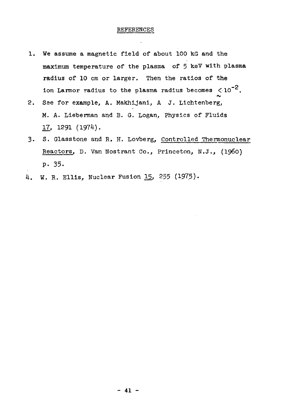## REFERENCES

- 1. We assume a magnetic field of about 100 kG and the maximum temperature of the plasma of 5 keV with plasma radius of 10 cm or larger. Then the ratios of the ion Larmor radius to the plasma radius becomes  ${10}^{-2}$ .
- 2. See for example, A. Makhijani, A J. Lichtenberg, M. A. Lieberman and B. G. Logan, Physics of Fluids 17, 1291 (1974).
- 3. S. Glasstone and R. H. Lovberg, Controlled Thermonuclear Reactors, D. Van Nostrant Co., Princeton, N.J., (1960) p. 35.
- 4. W. R. Ellis, Nuclear Fusion  $15$ , 255 (1975).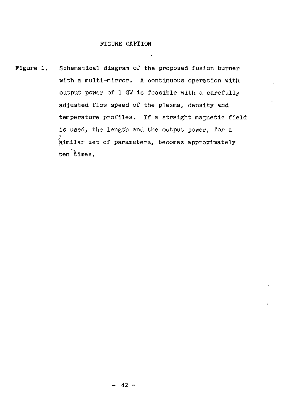## FIGURE CAPTION

Figure 1. Schematical diagram of the proposed fusion burner with a multi-mirror. A continuous operation with output power of 1 GW is feasible with a carefully adjusted flow speed of the plasma, density and temperature profiles. If a straight magnetic field is used, the length and the output power, for a Similar set of parameters, becomes approximately ten times.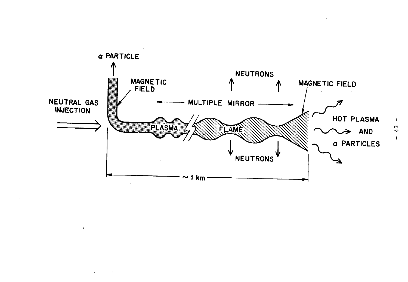

 $\bullet$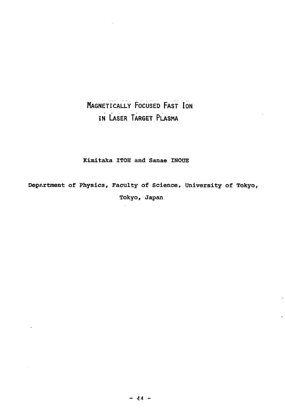# **MAGNETICALLY FOCUSED FAST ION IN LASER TARGET PLASMA**

Kimitaka ITOH and Sanae INOOE

Department of Physics, Faculty of Science, University of Tokyo, Tokyo, Japan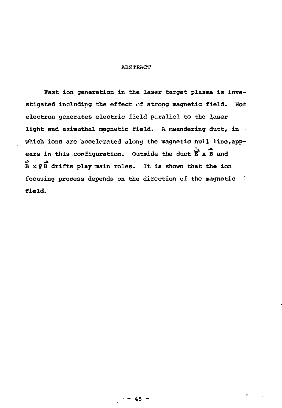### **ABSTRACT**

Fast ion generation in the laser target plasma is investigated including the effect of strong magnetic field. Hot electron generates electric field parallel to the laser light and azimuthal magnetic field. A meandering duct, in which ions are accelerated along the magnetic null line,appears in this configuration. Outside the duct  $\mathbf{\hat{E}} \times \mathbf{\hat{B}}$  and  $B \times \overrightarrow{y}$  drifts play main roles. It is shown that the ion focusing process depends on the direction of the magnetic ' field.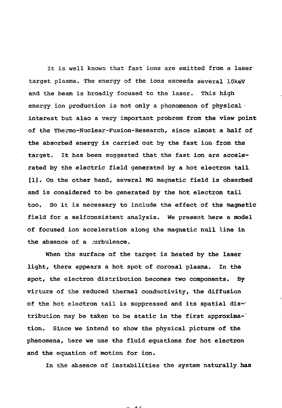It is well known that fast ions are emitted from a laser target plasma. The energy of the ions exceeds several lOkeV and the beam is broadly focused to the laser. This high energy ion production is not only a phonomenon of physical  $\cdot$ interest but also a very important probrem from the view point of the Thermo-Nuclear-Fusion-Research, since almost a half of the absorbed energy is carried out by the fast ion from the target. It has been suggested that the fast ion are accelerated by the electric field generated by a hot electron tail [1]. On the other hand, several MG magnetic field is obserbed and is considered to be generated by the hot electron tail too. So it is necessary to include the effect of the magnetic field for a selfconsistent analysis. We present here a model of focused ion acceleration along the magnetic null line in the absence of a *curbulence*.

When the surface of the target is heated by the laser light, there appears a hot spot of coronal plasma. In the spot, the electron distribution becomes two components. By virture of the reduced thermal conductivity, the diffusion of the hot electron tail is suppressed and its spatial distri tribution may be taken to be static in the first approxima-' tion. Since we intend to show the physical picture of the phenomena, here we use the fluid equations for hot electron and the equation of motion for ion.

In the absence of instabilities the system naturally has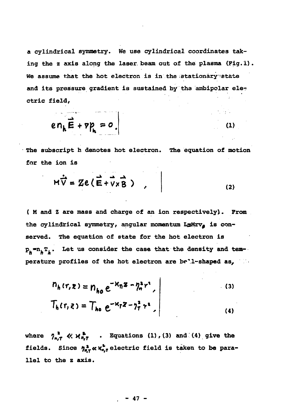a cylindrical symmetry. We use cylindrical coordinates taking the z axis along the laser beam out of the plasma (Fig.1). We assume that the hot electron is in the stationary state and its pressure gradient is sustained by tha ambipolar electric field,

$$
en_{h} \vec{E} + \nabla P_{h} = 0.
$$
 (1)

The subscript h denotes hot electron. The equation of motion for the ion is

$$
M\ddot{\vec{V}} = Ze(\vec{E} + \vec{V} \times \vec{B})
$$
 (2)

( H and Z are mass and charge of an ion respectively). From the cylindrical symmetry, angular momentum LaMrv<sub>a</sub> is conserved. The equation of state for the hot electron is p »n.T,. Let us consider the case that the density **and** temperature profiles of the hot electron are bell-shaped as,

$$
n_h(r, z) = n_{ho} e^{-\kappa_n z - \gamma_n^2 r^2},
$$
  
\n
$$
T_h(r, z) = T_{ho} e^{-\kappa_r z - \gamma_r^2 r^2},
$$
\n(3)

. Equations  $(1)$ ,  $(3)$  and  $(4)$  give the fields. Since  $\eta_{\epsilon,\tau}^2 \propto \chi_{n,\tau}^2$  electric field is taken to be parawhere  $\eta_{n,T}^2 \ll \mathcal{H}_{n,T}^2$ **llel to the z axis.**

$$
-47 -
$$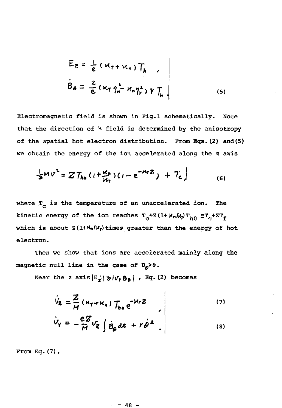$$
E_{\mathbf{z}} = \frac{1}{e} (\kappa_{\mathbf{r}} + \kappa_{\mathbf{n}}) T_{h}
$$
  

$$
\dot{B}_{\theta} = \frac{z}{e} (\kappa_{\mathbf{r}} \eta_{\mathbf{n}}^{2} - \kappa_{\mathbf{n}} \eta_{\mathbf{r}}^{2}) \gamma T_{h}
$$
 (5)

Electromagnetic field is shown in Fig.l schematically. Note that the direction of B field is determined by the anisotropy of the spatial hot electron distribution. From Eqs.(2) and(5) we obtain the energy of the ion accelerated along the z axis

$$
\frac{1}{2}MV^{2} = ZT_{ho}(1+\frac{\kappa_{n}}{\kappa_{T}})(1-e^{-\kappa_{T}Z}) + T_{c}, \qquad (6)
$$

where  $T_c$  is the temperature of an unaccelerated ion. The kinetic energy of the ion reaches  $T_c+Z(1+ \frac{K_H}{K_H})T_{h0} = T_c+ZT_f$ which is about  $Z(1+\frac{M_1}{N_1})$  times greater than the energy of hot electron.

Then we show that ions are accelerated mainly along the magnetic null line in the case of  $B_{\rho} > 0$ .

Near the z axis jE^I ^JiTr&j | , Eq. [2) becomes

$$
\dot{V}_z = \frac{Z}{H} (x_T + x_n) T_{he} e^{-N_T Z}
$$
\n
$$
\dot{V}_Y = -\frac{eZ}{H} V_{\overline{z}} \left( \dot{B}_0 dt + r \dot{\theta}^2 \right)
$$
\n(7)

From Eq. $(7)$ ,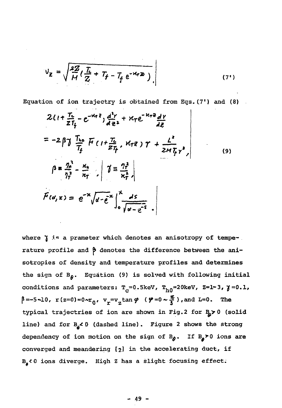$$
V_{Z} = \sqrt{\frac{2Z}{M}(\frac{L}{Z} + T_f - T_f e^{-M_f Z})}
$$
 (7')

Equation of ion trajectry is obtained from Eqs.  $(7')$  and  $(8)$ 

$$
2(1+\frac{T_c}{2T_f}-e^{-M_f z})\frac{d^3r}{dz^2}+X_T e^{-K_T z}\frac{dY}{dz}
$$
  
\n
$$
=-2\beta\gamma\frac{T_{ho}}{T_f}\frac{F}{T_f}(1+\frac{T_c}{2T_f},X_T z)\gamma+\frac{L^2}{2M_f^2}\gamma^3,
$$
  
\n
$$
\beta=\frac{\eta_0^3}{\eta_1^2}-\frac{X_p}{n_f},\quad \gamma\equiv\frac{\eta_0^2}{\chi_1^2},
$$
  
\n
$$
f(\alpha,z)=e^{-X}\sqrt{\alpha-\bar{e}^{-X}}\int_0^x\frac{ds}{\sqrt{\alpha-\bar{e}^{-S}}},
$$
  
\n(9)

where  $\gamma$  is a prameter which denotes an anisotropy of tempe-. rature profile and  $\beta$  denotes the difference between the anisotropies of density and temperature profiles and determines the sign of  $B_{\beta}$ . Equation (9) is solved with following initial conditions and parameters:  $T_c = 0.5$ keV,  $T_{h0} = 20$ keV, Z=1-3,  $\gamma = 0.1$ ,  $\beta = -5-10$ , r(z=0)=0 $\sim r_0$ , v<sub>r</sub>=v<sub>z</sub>tan  $\varphi$  ( $\varphi$ =0  $\sim \frac{\pi}{3}$ ), and L=0. The typical trajectries of ion are shown in Fig.2 for  $B_{\rho} > 0$  (solid line) and for  $B_{\mathbf{a}} < 0$  (dashed line). Figure 2 shows the strong dependency of ion motion on the sign of  $B_{\rho}$ . If  $B_{\rho}$  > 0 ions are converged and meandering [2] in the accelerating duct, if  $B_{\rho}$  < 0 ions diverge. High Z has a slight focusing effect.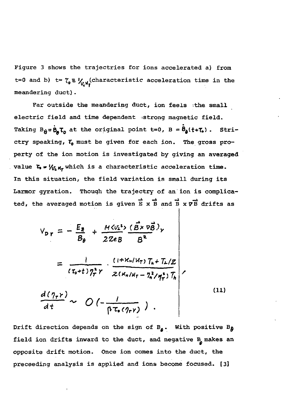Figure 3 shows the trajectries for ions accelerated a) from t=0 and b) t=  $\gamma_0 \equiv V_{\gamma} \chi_{\gamma}^{\prime}$  (characteristic acceleration time in the meandering duct).

Far outside the meandering duct, ion feels :the small electric field and time dependent strong magnetic field. Taking  $B_{\theta}=\dot{B}_{\theta}T_{0}$  at the original point t=0, B =  $\dot{B}_{\theta}(t+\tau_{s})$  . Strictry speaking,  $T_0$  must be given for each ion. The gross property of the ion motion is investigated by giving an averaged value  $\tau_{\bullet} = V_{V_L, M_T}$  which is a characteristic acceleration time. In this situation, the field variation is small during its Larmor gyration. Though the trajectry of an ion is complicated, the averaged motion is given  $\vec{E} \times \vec{B}$  and  $\vec{B} \times \vec{v}$  drifts as

$$
V_{DT} = -\frac{E_{R}}{B_{\theta}} + \frac{M\langle v_{L}^{2}\rangle}{2ZeB} \frac{(\vec{B} \times \vec{v}\vec{B})_{\gamma}}{B^{2}}
$$
  

$$
= \frac{1}{(\tau_{0}+t)\gamma_{T}^{2}\gamma} \frac{(1+K_{H}/M_{T})T_{h}+T_{L}/Z}{2(K_{H}/M_{T}-\gamma_{0}^{2}/\gamma_{T}^{2})T_{h}}
$$
  

$$
\frac{d(\gamma_{T}\gamma)}{dt} \sim O\left(-\frac{1}{\beta \tau_{0}(\gamma_{T}\gamma)}\right).
$$
 (11)

Drift direction depends on the sign of  $B_{\rho}$ . With positive  $B_{\rho}$ field ion drifts inward to the duct, and negative B makes an opposite drift motion. Once ion comes into the duct, the preceeding analysis is applied and ions become focused. [3]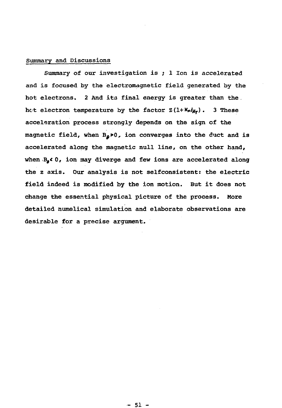## Summary and Discussions

Summary of our investigation is ; 1 Ion is accelerated and is focused by the electromagnetic field generated by the hot electrons. 2 And its final energy is greater than the . hot electron temperature by the factor  $2(1+k_n/\mu_r)$ . 3 These acceleration process strongly depends on the sign of the magnetic field, when  $B_{\rho}>0$ , ion converges into the duct and is accelerated along the magnetic null line, on the other hand, when  $B_n \in \mathbb{O}$ , ion may diverge and few ions are accelerated along the z axis. Our analysis is not selfconsistent: the electric field indeed is modified by the ion motion. But it does not change the essential physical picture of the process. More detailed numelical simulation and elaborate observations are desirable for a precise argument.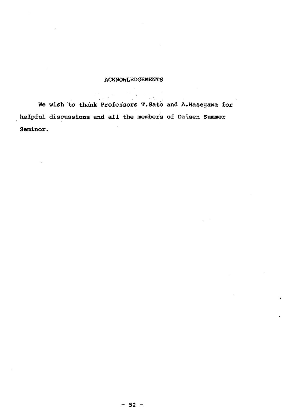## **ACKNOWLEDGEMENTS**

We wish to thank Professors T.Sato and A.Hasegawa for helpful discussions and all the members of Daisen Summer Seminor.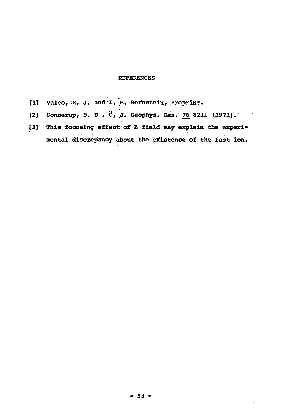## **REFERENCES**

- **fll Valeo,.IE. J. and I. B. Bernsteinr Preprint.**
- **[2] Sonnerup, B. U . 6, J. Geophys. Res. 7£ 8211 (1971).**
- **[31 This focusing effect of B field may explain the experi-> mental discrepancy about the existence of the fast ion.**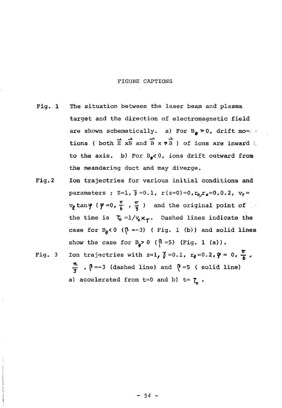## FIGURE CAPTIONS

- Fig. 1 The situation between the laser beam and plasma target and the direction of electromagnetic field are shown schematically. a) For  $B_{\rho}>0$ , drift motions ( both  $\vec{E}$  xB and  $\vec{B}$  x  $\vec{v}$  B ) of ions are inward  $\vec{v}$ . to the axis. b) For  $B_{\theta} < 0$ , ions drift outward from the meandering duct and may diverge.
- Fig.2 Ion trajectries for various initial conditions and parameters ; Z=1,  $\tilde{\theta}$  =0.1,  $r(z=0)=0$ ,  $r_{0}r_{0}=0$ , 0.2,  $v_{\tilde{\theta}}=$  $v_{\overline{z}}\tan\varphi$  ( $\varphi=0$ ,  $\frac{\pi}{6}$ ,  $\frac{\pi}{3}$ ) and the original point of the time is  $\tau_o = 1/v_c x_T$ . Dashed lines indicate the case for  $B_0$ <0 ( $\beta$  =-3) ( Fig. 1 (b)) and solid lines show the case for  $B_{\rho} > 0$  ( $\beta = 5$ ) (Fig. 1 (a)).
- Fig. 3 Ion trajectries with  $z=1$ ,  $\vec{q}=0.1$ ,  $r_{\vec{q}}=0.2$ ,  $\varphi=0$ ,  $\frac{\pi}{6}$ ,  $\frac{\pi}{7}$ ,  $\beta$  =-3 (dashed line) and  $\beta$  =5 ( solid line) a) accelerated from  $t=0$  and b)  $t=\tau_a$ .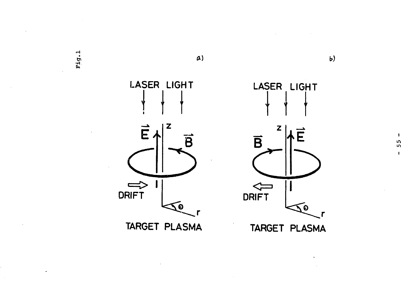**•H. fa**



 $\alpha$ )

 $b)$ 

and a strategic control of the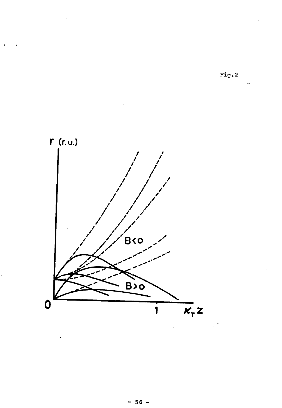Pig. 2